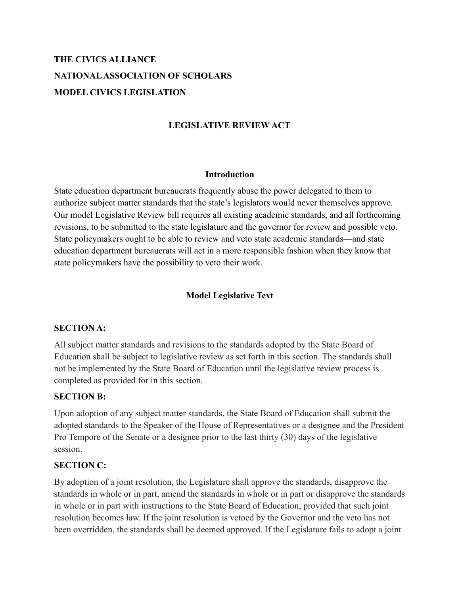# **THE CIVICS ALLIANCE NATIONALASSOCIATION OF SCHOLARS MODEL CIVICS LEGISLATION**

#### **LEGISLATIVE REVIEW ACT**

#### **Introduction**

State education department bureaucrats frequently abuse the power delegated to them to authorize subject matter standards that the state's legislators would never themselves approve. Our model Legislative Review bill requires all existing academic standards, and all forthcoming revisions, to be submitted to the state legislature and the governor for review and possible veto. State policymakers ought to be able to review and veto state academic standards—and state education department bureaucrats will act in a more responsible fashion when they know that state policymakers have the possibility to veto their work.

#### **Model Legislative Text**

#### **SECTION A:**

All subject matter standards and revisions to the standards adopted by the State Board of Education shall be subject to legislative review as set forth in this section. The standards shall not be implemented by the State Board of Education until the legislative review process is completed as provided for in this section.

#### **SECTION B:**

Upon adoption of any subject matter standards, the State Board of Education shall submit the adopted standards to the Speaker of the House of Representatives or a designee and the President Pro Tempore of the Senate or a designee prior to the last thirty (30) days of the legislative session.

#### **SECTION C:**

By adoption of a joint resolution, the Legislature shall approve the standards, disapprove the standards in whole or in part, amend the standards in whole or in part or disapprove the standards in whole or in part with instructions to the State Board of Education, provided that such joint resolution becomes law. If the joint resolution is vetoed by the Governor and the veto has not been overridden, the standards shall be deemed approved. If the Legislature fails to adopt a joint